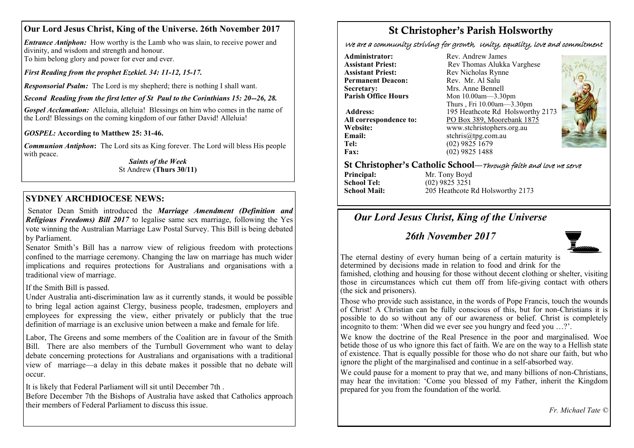## **Our Lord Jesus Christ, King of the Universe. 26th November 2017**

*Entrance Antiphon:* How worthy is the Lamb who was slain, to receive power and divinity, and wisdom and strength and honour. To him belong glory and power for ever and ever.

*First Reading from the prophet Ezekiel. 34: 11-12, 15-17.*

*Responsorial Psalm:* The Lord is my shepherd; there is nothing I shall want.

*Second Reading from the first letter of St Paul to the Corinthians 15: 20--26, 28.*

*Gospel Acclamation:* Alleluia, alleluia! Blessings on him who comes in the name of the Lord! Blessings on the coming kingdom of our father David! Alleluia!

*GOSPEL:* **According to Matthew 25: 31-46.**

*Communion Antiphon***:** The Lord sits as King forever. The Lord will bless His people with peace.

*Saints of the Week* St Andrew **(Thurs 30/11)** 

## **SYDNEY ARCHDIOCESE NEWS:**

Senator Dean Smith introduced the *Marriage Amendment (Definition and Religious Freedoms) Bill 2017* to legalise same sex marriage, following the Yes vote winning the Australian Marriage Law Postal Survey. This Bill is being debated by Parliament.

Senator Smith's Bill has a narrow view of religious freedom with protections confined to the marriage ceremony. Changing the law on marriage has much wider implications and requires protections for Australians and organisations with a traditional view of marriage.

### If the Smith Bill is passed.

Under Australia anti-discrimination law as it currently stands, it would be possible to bring legal action against Clergy, business people, tradesmen, employers and employees for expressing the view, either privately or publicly that the true definition of marriage is an exclusive union between a make and female for life.

Labor, The Greens and some members of the Coalition are in favour of the Smith Bill. There are also members of the Turnbull Government who want to delay debate concerning protections for Australians and organisations with a traditional view of marriage—a delay in this debate makes it possible that no debate will occur.

It is likely that Federal Parliament will sit until December 7th .

Before December 7th the Bishops of Australia have asked that Catholics approach their members of Federal Parliament to discuss this issue.

# St Christopher's Parish Holsworthy

We are a community striving for growth, Unity, equality, love and commitment

**Administrator:** Rev. Andrew James<br> **Assistant Priest:** Rev Thomas Alukka **Permanent Deacon:**<br>Secretary: **Secretary:** Mrs. Anne Bennell<br> **Parish Office Hours** Mon 10.00am—3.30

**Assistant Priest: Rev Thomas Alukka Varghese**<br>**Assistant Priest: Rev Nicholas Rynne** Rev Nicholas Rynne<br>Rev Mr Al Salu **Parish Office Hours** Mon 10.00am—3.30pm Thurs , Fri 10.00am—3.30pm **Address:** 195 Heathcote Rd Holsworthy 2173 **All correspondence to:** PO Box 389, Moorebank 1875<br>Website: www.stchristophers.org.au **Website:** www.stchristophers.org.au<br> **Email:** stchris@tng.com au **Email:** stchris@tpg.com.au<br> **Tel:** (02) 9825 1679 **Tel:** (02) 9825 1679 **Fax:** (02) 9825 1488



### St Christopher's Catholic School—Through faith and love we serve

**Principal:** Mr. Tony Boyd<br> **School Tel:** (02) 9825 3251 **School Tel:** (02) 9825 3251<br>**School Mail:** 205 Heathcote I

**School Mail:** 205 Heathcote Rd Holsworthy 2173

# *Our Lord Jesus Christ, King of the Universe*

## *26th November 2017*



The eternal destiny of every human being of a certain maturity is determined by decisions made in relation to food and drink for the famished, clothing and housing for those without decent clothing or shelter, visiting those in circumstances which cut them off from life-giving contact with others (the sick and prisoners).

Those who provide such assistance, in the words of Pope Francis, touch the wounds of Christ! A Christian can be fully conscious of this, but for non-Christians it is possible to do so without any of our awareness or belief. Christ is completely incognito to them: 'When did we ever see you hungry and feed you …?'.

We know the doctrine of the Real Presence in the poor and marginalised. Woe betide those of us who ignore this fact of faith. We are on the way to a Hellish state of existence. That is equally possible for those who do not share our faith, but who ignore the plight of the marginalised and continue in a self-absorbed way.

We could pause for a moment to pray that we, and many billions of non-Christians, may hear the invitation: 'Come you blessed of my Father, inherit the Kingdom prepared for you from the foundation of the world.

*Fr. Michael Tate ©*